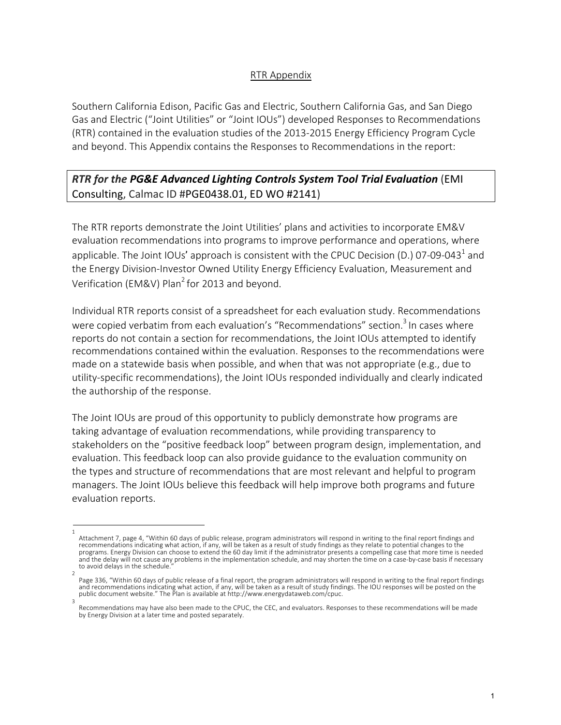### RTR Appendix

Southern California Edison, Pacific Gas and Electric, Southern California Gas, and San Diego Gas and Electric ("Joint Utilities" or "Joint IOUs") developed Responses to Recommendations (RTR) contained in the evaluation studies of the 2013-2015 Energy Efficiency Program Cycle and beyond. This Appendix contains the Responses to Recommendations in the report:

## *RTR for the PG&E Advanced Lighting Controls System Tool Trial Evaluation* (EMI Consulting, Calmac ID #PGE0438.01, ED WO #2141)

The RTR reports demonstrate the Joint Utilities' plans and activities to incorporate EM&V evaluation recommendations into programs to improve performance and operations, where applicable. The Joint IOUs' approach is consistent with the CPUC Decision (D.) 07-09-043<sup>1</sup> and the Energy Division-Investor Owned Utility Energy Efficiency Evaluation, Measurement and Verification (EM&V) Plan<sup>2</sup> for 2013 and beyond.

Individual RTR reports consist of a spreadsheet for each evaluation study. Recommendations were copied verbatim from each evaluation's "Recommendations" section.<sup>3</sup> In cases where reports do not contain a section for recommendations, the Joint IOUs attempted to identify recommendations contained within the evaluation. Responses to the recommendations were made on a statewide basis when possible, and when that was not appropriate (e.g., due to utility-specific recommendations), the Joint IOUs responded individually and clearly indicated the authorship of the response.

The Joint IOUs are proud of this opportunity to publicly demonstrate how programs are taking advantage of evaluation recommendations, while providing transparency to stakeholders on the "positive feedback loop" between program design, implementation, and evaluation. This feedback loop can also provide guidance to the evaluation community on the types and structure of recommendations that are most relevant and helpful to program managers. The Joint IOUs believe this feedback will help improve both programs and future evaluation reports.

<sup>1</sup>  Attachment 7, page 4, "Within 60 days of public release, program administrators will respond in writing to the final report findings and recommendations indicating what action, if any, will be taken as a result of study findings as they relate to potential changes to the programs. Energy Division can choose to extend the 60 day limit if the administrator presents a compelling case that more time is needed and the delay will not cause any problems in the implementation schedule, and may shorten the time on a case-by-case basis if necessary to avoid delays in the schedule.

<sup>2</sup>  Page 336, "Within 60 days of public release of a final report, the program administrators will respond in writing to the final report findings and recommendations indicating what action, if any, will be taken as a result of study findings. The IOU responses will be posted on the public document website." The Plan is available at http://www.energydataweb.com/cpuc. 3

Recommendations may have also been made to the CPUC, the CEC, and evaluators. Responses to these recommendations will be made by Energy Division at a later time and posted separately.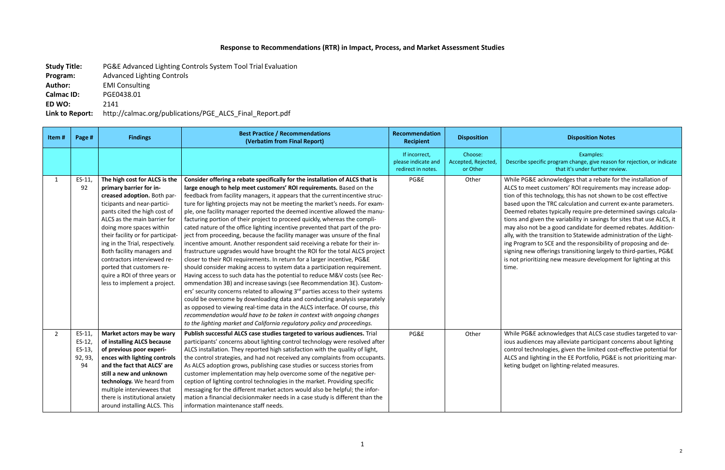### **Response to Recommendations (RTR) in Impact, Process, and Market Assessment Studies**

**Study Title:** PG&E Advanced Lighting Controls System Tool Trial Evaluation **Program:** Advanced Lighting Controls **Author:** EMI Consulting **Calmac ID:** PGE0438.01 **ED WO:** 2141 **Link to Report:** http://calmac.org/publications/PGE\_ALCS\_Final\_Report.pdf

### **Recipient Disposition Disposition Notes**

Examples: ecific program change, give reason for rejection, or indicate that it's under further review.

E acknowledges that a rebate for the installation of et customers' ROI requirements may increase adoptechnology, this has not shown to be cost effective I the TRC calculation and current ex-ante parameters. bates typically require pre-determined savings calculaiven the variability in savings for sites that use ALCS, it ot be a good candidate for deemed rebates. Additionne transition to Statewide administration of the Lightn to SCE and the responsibility of proposing and deofferings transitioning largely to third-parties, PG&E itizing new measure development for lighting at this

E acknowledges that ALCS case studies targeted to varices may alleviate participant concerns about lighting hnologies, given the limited cost-effective potential for ghting in the EE Portfolio, PG&E is not prioritizing marget on lighting-related measures.

| Item#        | Page #                                            | <b>Findings</b>                                                                                                                                                                                                                                                                                                                                                                                                                                       | <b>Best Practice / Recommendations</b><br>(Verbatim from Final Report)                                                                                                                                                                                                                                                                                                                                                                                                                                                                                                                                                                                                                                                                                                                                                                                                                                                                                                                                                                                                                                                                                                                                                                                                                                                                                                                                                                                                                                                                  | Recommendation<br><b>Recipient</b>                         | <b>Disposition</b>                         |                                                                                                                                                                              |
|--------------|---------------------------------------------------|-------------------------------------------------------------------------------------------------------------------------------------------------------------------------------------------------------------------------------------------------------------------------------------------------------------------------------------------------------------------------------------------------------------------------------------------------------|-----------------------------------------------------------------------------------------------------------------------------------------------------------------------------------------------------------------------------------------------------------------------------------------------------------------------------------------------------------------------------------------------------------------------------------------------------------------------------------------------------------------------------------------------------------------------------------------------------------------------------------------------------------------------------------------------------------------------------------------------------------------------------------------------------------------------------------------------------------------------------------------------------------------------------------------------------------------------------------------------------------------------------------------------------------------------------------------------------------------------------------------------------------------------------------------------------------------------------------------------------------------------------------------------------------------------------------------------------------------------------------------------------------------------------------------------------------------------------------------------------------------------------------------|------------------------------------------------------------|--------------------------------------------|------------------------------------------------------------------------------------------------------------------------------------------------------------------------------|
|              |                                                   |                                                                                                                                                                                                                                                                                                                                                                                                                                                       |                                                                                                                                                                                                                                                                                                                                                                                                                                                                                                                                                                                                                                                                                                                                                                                                                                                                                                                                                                                                                                                                                                                                                                                                                                                                                                                                                                                                                                                                                                                                         | If incorrect,<br>please indicate and<br>redirect in notes. | Choose:<br>Accepted, Rejected,<br>or Other | Describe sp                                                                                                                                                                  |
| $\mathbf{1}$ | $ES-11,$<br>92                                    | The high cost for ALCS is the<br>primary barrier for in-<br>creased adoption. Both par-<br>ticipants and near-partici-<br>pants cited the high cost of<br>ALCS as the main barrier for<br>doing more spaces within<br>their facility or for participat-<br>ing in the Trial, respectively.<br>Both facility managers and<br>contractors interviewed re-<br>ported that customers re-<br>quire a ROI of three years or<br>less to implement a project. | Consider offering a rebate specifically for the installation of ALCS that is<br>large enough to help meet customers' ROI requirements. Based on the<br>feedback from facility managers, it appears that the currentincentive struc-<br>ture for lighting projects may not be meeting the market's needs. For exam-<br>ple, one facility manager reported the deemed incentive allowed the manu-<br>facturing portion of their project to proceed quickly, whereas the compli-<br>cated nature of the office lighting incentive prevented that part of the pro-<br>ject from proceeding, because the facility manager was unsure of the final<br>incentive amount. Another respondent said receiving a rebate for their in-<br>frastructure upgrades would have brought the ROI for the total ALCS project<br>closer to their ROI requirements. In return for a larger incentive, PG&E<br>should consider making access to system data a participation requirement.<br>Having access to such data has the potential to reduce M&V costs (see Rec-<br>ommendation 3B) and increase savings (see Recommendation 3E). Custom-<br>ers' security concerns related to allowing 3 <sup>rd</sup> parties access to their systems<br>could be overcome by downloading data and conducting analysis separately<br>as opposed to viewing real-time data in the ALCS interface. Of course, this<br>recommendation would have to be taken in context with ongoing changes<br>to the lighting market and California regulatory policy and proceedings. | PG&E                                                       | Other                                      | While PG&E<br>ALCS to me<br>tion of this<br>based upon<br>Deemed rel<br>tions and gi<br>may also no<br>ally, with th<br>ing Program<br>signing new<br>is not priori<br>time. |
| $2^{\circ}$  | $ES-11$ ,<br>$ES-12$ ,<br>ES-13,<br>92, 93,<br>94 | Market actors may be wary<br>of installing ALCS because<br>of previous poor experi-<br>ences with lighting controls<br>and the fact that ALCS' are<br>still a new and unknown<br>technology. We heard from<br>multiple interviewees that<br>there is institutional anxiety<br>around installing ALCS. This                                                                                                                                            | Publish successful ALCS case studies targeted to various audiences. Trial<br>participants' concerns about lighting control technology were resolved after<br>ALCS installation. They reported high satisfaction with the quality of light,<br>the control strategies, and had not received any complaints from occupants.<br>As ALCS adoption grows, publishing case studies or success stories from<br>customer implementation may help overcome some of the negative per-<br>ception of lighting control technologies in the market. Providing specific<br>messaging for the different market actors would also be helpful; the infor-<br>mation a financial decisionmaker needs in a case study is different than the<br>information maintenance staff needs.                                                                                                                                                                                                                                                                                                                                                                                                                                                                                                                                                                                                                                                                                                                                                                        | PG&E                                                       | Other                                      | While PG&E<br>ious audien<br>control tech<br>ALCS and lig<br>keting budg                                                                                                     |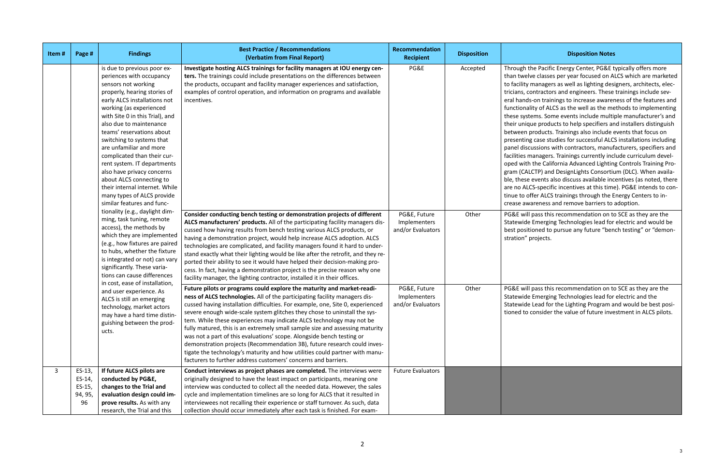#### **Recipient Disposition Disposition Notes**

he Pacific Energy Center, PG&E typically offers more re classes per year focused on ALCS which are marketed nanagers as well as lighting designers, architects, elecntractors and engineers. These trainings include sev--on trainings to increase awareness of the features and ity of ALCS as the well as the methods to implementing ems. Some events include multiple manufacturer's and Le products to help specifiers and installers distinguish roducts. Trainings also include events that focus on case studies for successful ALCS installations including assions with contractors, manufacturers, specifiers and anagers. Trainings currently include curriculum develthe California Advanced Lighting Controls Training Pro-CTP) and DesignLights Consortium (DLC). When availaevents also discuss available incentives (as noted, there S-specific incentives at this time). PG&E intends to confer ALCS trainings through the Energy Centers to inareness and remove barriers to adoption.

pass this recommendation on to SCE as they are the Emerging Technologies lead for electric and would be oned to pursue any future "bench testing" or "demonrojects.

pass this recommendation on to SCE as they are the Emerging Technologies lead for electric and the Lead for the Lighting Program and would be best posiconsider the value of future investment in ALCS pilots.

| Item# | Page #                                                                                                                                                                                                                                                                                                                                                                                                                                                                                                                                                                                                                                                                                                                                                                                                                                                                                                                                                                                                                                     | <b>Findings</b>                                                                                                                                                                                                                                                                                                                                                                                                                                                                                                                                                                                                                                                                                                              | <b>Best Practice / Recommendations</b><br>(Verbatim from Final Report)                                                                                                                                                                                                                                                                                                                                                                                                                                                                                                                                                                                                                                                                                                            | Recommendation<br><b>Recipient</b>                | <b>Disposition</b>                                                                                                                                                                                                                                                          |                                                          |
|-------|--------------------------------------------------------------------------------------------------------------------------------------------------------------------------------------------------------------------------------------------------------------------------------------------------------------------------------------------------------------------------------------------------------------------------------------------------------------------------------------------------------------------------------------------------------------------------------------------------------------------------------------------------------------------------------------------------------------------------------------------------------------------------------------------------------------------------------------------------------------------------------------------------------------------------------------------------------------------------------------------------------------------------------------------|------------------------------------------------------------------------------------------------------------------------------------------------------------------------------------------------------------------------------------------------------------------------------------------------------------------------------------------------------------------------------------------------------------------------------------------------------------------------------------------------------------------------------------------------------------------------------------------------------------------------------------------------------------------------------------------------------------------------------|-----------------------------------------------------------------------------------------------------------------------------------------------------------------------------------------------------------------------------------------------------------------------------------------------------------------------------------------------------------------------------------------------------------------------------------------------------------------------------------------------------------------------------------------------------------------------------------------------------------------------------------------------------------------------------------------------------------------------------------------------------------------------------------|---------------------------------------------------|-----------------------------------------------------------------------------------------------------------------------------------------------------------------------------------------------------------------------------------------------------------------------------|----------------------------------------------------------|
|       | is due to previous poor ex-<br>periences with occupancy<br>sensors not working<br>properly, hearing stories of<br>early ALCS installations not<br>working (as experienced<br>with Site 0 in this Trial), and<br>also due to maintenance<br>teams' reservations about<br>switching to systems that<br>are unfamiliar and more<br>complicated than their cur-<br>rent system. IT departments<br>also have privacy concerns<br>about ALCS connecting to<br>their internal internet. While<br>many types of ALCS provide<br>similar features and func-<br>tionality (e.g., daylight dim-<br>ming, task tuning, remote<br>access), the methods by<br>which they are implemented<br>(e.g., how fixtures are paired<br>to hubs, whether the fixture<br>is integrated or not) can vary<br>significantly. These varia-<br>tions can cause differences<br>in cost, ease of installation,<br>and user experience. As<br>ALCS is still an emerging<br>technology, market actors<br>may have a hard time distin-<br>guishing between the prod-<br>ucts. | Investigate hosting ALCS trainings for facility managers at IOU energy cen-<br>ters. The trainings could include presentations on the differences between<br>the products, occupant and facility manager experiences and satisfaction,<br>examples of control operation, and information on programs and available<br>incentives.                                                                                                                                                                                                                                                                                                                                                                                            | PG&E                                                                                                                                                                                                                                                                                                                                                                                                                                                                                                                                                                                                                                                                                                                                                                              | Accepted                                          | Through th<br>than twelv<br>to facility n<br>tricians, co<br>eral hands-<br>functionali<br>these syste<br>their uniqu<br>between pi<br>presenting<br>panel discu<br>facilities ma<br>oped with t<br>gram (CALC<br>ble, these e<br>are no ALC:<br>tinue to off<br>crease awa |                                                          |
|       |                                                                                                                                                                                                                                                                                                                                                                                                                                                                                                                                                                                                                                                                                                                                                                                                                                                                                                                                                                                                                                            | Consider conducting bench testing or demonstration projects of different<br>ALCS manufacturers' products. All of the participating facility managers dis-<br>cussed how having results from bench testing various ALCS products, or<br>having a demonstration project, would help increase ALCS adoption. ALCS<br>technologies are complicated, and facility managers found it hard to under-<br>stand exactly what their lighting would be like after the retrofit, and they re-<br>ported their ability to see it would have helped their decision-making pro-<br>cess. In fact, having a demonstration project is the precise reason why one<br>facility manager, the lighting contractor, installed it in their offices. | PG&E, Future<br>Implementers<br>and/or Evaluators                                                                                                                                                                                                                                                                                                                                                                                                                                                                                                                                                                                                                                                                                                                                 | Other                                             | PG&E will p<br>Statewide I<br>best positio<br>stration" pi                                                                                                                                                                                                                  |                                                          |
|       |                                                                                                                                                                                                                                                                                                                                                                                                                                                                                                                                                                                                                                                                                                                                                                                                                                                                                                                                                                                                                                            |                                                                                                                                                                                                                                                                                                                                                                                                                                                                                                                                                                                                                                                                                                                              | Future pilots or programs could explore the maturity and market-readi-<br>ness of ALCS technologies. All of the participating facility managers dis-<br>cussed having installation difficulties. For example, one, Site 0, experienced<br>severe enough wide-scale system glitches they chose to uninstall the sys-<br>tem. While these experiences may indicate ALCS technology may not be<br>fully matured, this is an extremely small sample size and assessing maturity<br>was not a part of this evaluations' scope. Alongside bench testing or<br>demonstration projects (Recommendation 3B), future research could inves-<br>tigate the technology's maturity and how utilities could partner with manu-<br>facturers to further address customers' concerns and barriers. | PG&E, Future<br>Implementers<br>and/or Evaluators | Other                                                                                                                                                                                                                                                                       | PG&E will p<br>Statewide I<br>Statewide I<br>tioned to c |
| 3     | $ES-13,$<br>ES-14,<br>$ES-15$ ,<br>94, 95,<br>96                                                                                                                                                                                                                                                                                                                                                                                                                                                                                                                                                                                                                                                                                                                                                                                                                                                                                                                                                                                           | If future ALCS pilots are<br>conducted by PG&E,<br>changes to the Trial and<br>evaluation design could im-<br>prove results. As with any<br>research, the Trial and this                                                                                                                                                                                                                                                                                                                                                                                                                                                                                                                                                     | Conduct interviews as project phases are completed. The interviews were<br>originally designed to have the least impact on participants, meaning one<br>interview was conducted to collect all the needed data. However, the sales<br>cycle and implementation timelines are so long for ALCS that it resulted in<br>interviewees not recalling their experience or staff turnover. As such, data<br>collection should occur immediately after each task is finished. For exam-                                                                                                                                                                                                                                                                                                   | <b>Future Evaluators</b>                          |                                                                                                                                                                                                                                                                             |                                                          |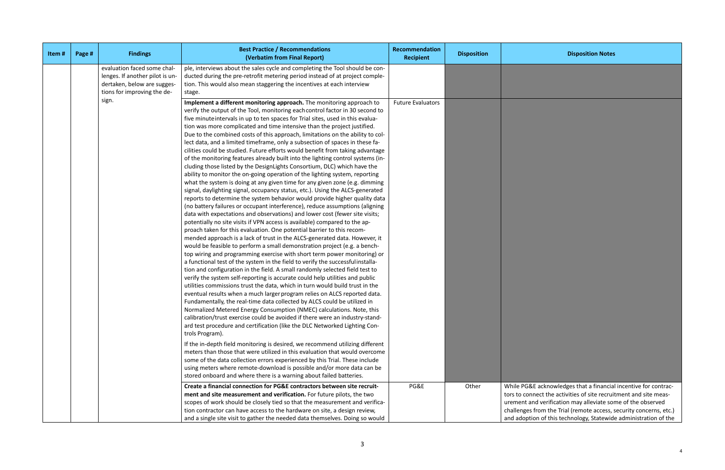# **Recipient Disposition Disposition Notes**

G&E acknowledges that a financial incentive for contracconnect the activities of site recruitment and site meast and verification may alleviate some of the observed ges from the Trial (remote access, security concerns, etc.) and a<br>intion of this technology, Statewide administration of the

| Item# | Page # | <b>Findings</b>                                                                                                              | <b>Best Practice / Recommendations</b><br>(Verbatim from Final Report)                                                                                                                                                                                                                                                                                                                                                                                                                                                                                                                                                                                                                                                                                                                                                                                                                                                                                                                                                                                                                                                                                                                                                                                                                                                                                                                                                                                                                                                                                                                                                                                                                                                                                                                                                                                                                                                                                                                                                                                                                                                                                                                                                                                                                                                                                                                                                                                                                                                                                                                                                                                                                                                                                                                   | Recommendation<br><b>Recipient</b> | <b>Disposition</b> |                                                          |
|-------|--------|------------------------------------------------------------------------------------------------------------------------------|------------------------------------------------------------------------------------------------------------------------------------------------------------------------------------------------------------------------------------------------------------------------------------------------------------------------------------------------------------------------------------------------------------------------------------------------------------------------------------------------------------------------------------------------------------------------------------------------------------------------------------------------------------------------------------------------------------------------------------------------------------------------------------------------------------------------------------------------------------------------------------------------------------------------------------------------------------------------------------------------------------------------------------------------------------------------------------------------------------------------------------------------------------------------------------------------------------------------------------------------------------------------------------------------------------------------------------------------------------------------------------------------------------------------------------------------------------------------------------------------------------------------------------------------------------------------------------------------------------------------------------------------------------------------------------------------------------------------------------------------------------------------------------------------------------------------------------------------------------------------------------------------------------------------------------------------------------------------------------------------------------------------------------------------------------------------------------------------------------------------------------------------------------------------------------------------------------------------------------------------------------------------------------------------------------------------------------------------------------------------------------------------------------------------------------------------------------------------------------------------------------------------------------------------------------------------------------------------------------------------------------------------------------------------------------------------------------------------------------------------------------------------------------------|------------------------------------|--------------------|----------------------------------------------------------|
|       |        | evaluation faced some chal-<br>lenges. If another pilot is un-<br>dertaken, below are sugges-<br>tions for improving the de- | ple, interviews about the sales cycle and completing the Tool should be con-<br>ducted during the pre-retrofit metering period instead of at project comple-<br>tion. This would also mean staggering the incentives at each interview<br>stage.                                                                                                                                                                                                                                                                                                                                                                                                                                                                                                                                                                                                                                                                                                                                                                                                                                                                                                                                                                                                                                                                                                                                                                                                                                                                                                                                                                                                                                                                                                                                                                                                                                                                                                                                                                                                                                                                                                                                                                                                                                                                                                                                                                                                                                                                                                                                                                                                                                                                                                                                         |                                    |                    |                                                          |
|       |        | sign.                                                                                                                        | Implement a different monitoring approach. The monitoring approach to<br>verify the output of the Tool, monitoring each control factor in 30 second to<br>five minute intervals in up to ten spaces for Trial sites, used in this evalua-<br>tion was more complicated and time intensive than the project justified.<br>Due to the combined costs of this approach, limitations on the ability to col-<br>lect data, and a limited timeframe, only a subsection of spaces in these fa-<br>cilities could be studied. Future efforts would benefit from taking advantage<br>of the monitoring features already built into the lighting control systems (in-<br>cluding those listed by the DesignLights Consortium, DLC) which have the<br>ability to monitor the on-going operation of the lighting system, reporting<br>what the system is doing at any given time for any given zone (e.g. dimming<br>signal, daylighting signal, occupancy status, etc.). Using the ALCS-generated<br>reports to determine the system behavior would provide higher quality data<br>(no battery failures or occupant interference), reduce assumptions (aligning<br>data with expectations and observations) and lower cost (fewer site visits;<br>potentially no site visits if VPN access is available) compared to the ap-<br>proach taken for this evaluation. One potential barrier to this recom-<br>mended approach is a lack of trust in the ALCS-generated data. However, it<br>would be feasible to perform a small demonstration project (e.g. a bench-<br>top wiring and programming exercise with short term power monitoring) or<br>a functional test of the system in the field to verify the successful installa-<br>tion and configuration in the field. A small randomly selected field test to<br>verify the system self-reporting is accurate could help utilities and public<br>utilities commissions trust the data, which in turn would build trust in the<br>eventual results when a much larger program relies on ALCS reported data.<br>Fundamentally, the real-time data collected by ALCS could be utilized in<br>Normalized Metered Energy Consumption (NMEC) calculations. Note, this<br>calibration/trust exercise could be avoided if there were an industry-stand-<br>ard test procedure and certification (like the DLC Networked Lighting Con-<br>trols Program).<br>If the in-depth field monitoring is desired, we recommend utilizing different<br>meters than those that were utilized in this evaluation that would overcome<br>some of the data collection errors experienced by this Trial. These include<br>using meters where remote-download is possible and/or more data can be<br>stored onboard and where there is a warning about failed batteries. | <b>Future Evaluators</b>           |                    |                                                          |
|       |        |                                                                                                                              | Create a financial connection for PG&E contractors between site recruit-<br>ment and site measurement and verification. For future pilots, the two<br>scopes of work should be closely tied so that the measurement and verifica-<br>tion contractor can have access to the hardware on site, a design review,<br>and a single site visit to gather the needed data themselves. Doing so would                                                                                                                                                                                                                                                                                                                                                                                                                                                                                                                                                                                                                                                                                                                                                                                                                                                                                                                                                                                                                                                                                                                                                                                                                                                                                                                                                                                                                                                                                                                                                                                                                                                                                                                                                                                                                                                                                                                                                                                                                                                                                                                                                                                                                                                                                                                                                                                           | PG&E                               | Other              | While PO<br>tors to co<br>urement<br>challeng<br>and ado |